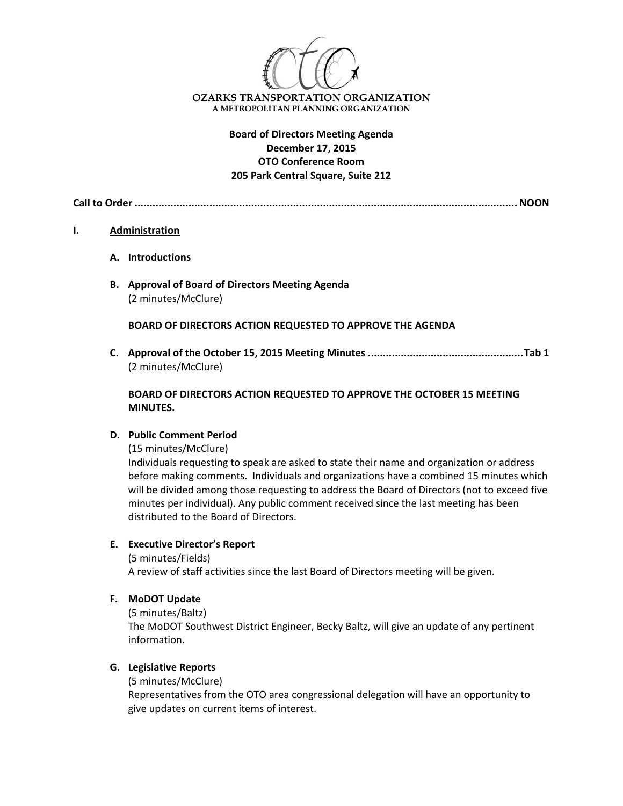

# **Board of Directors Meeting Agenda December 17, 2015 OTO Conference Room 205 Park Central Square, Suite 212**

**Call to Order ................................................................................................................................ NOON**

### **I. Administration**

- **A. Introductions**
- **B. Approval of Board of Directors Meeting Agenda** (2 minutes/McClure)

**BOARD OF DIRECTORS ACTION REQUESTED TO APPROVE THE AGENDA**

**C. Approval of the October 15, 2015 Meeting Minutes ....................................................Tab 1** (2 minutes/McClure)

## **BOARD OF DIRECTORS ACTION REQUESTED TO APPROVE THE OCTOBER 15 MEETING MINUTES.**

## **D. Public Comment Period**

(15 minutes/McClure)

Individuals requesting to speak are asked to state their name and organization or address before making comments. Individuals and organizations have a combined 15 minutes which will be divided among those requesting to address the Board of Directors (not to exceed five minutes per individual). Any public comment received since the last meeting has been distributed to the Board of Directors.

## **E. Executive Director's Report**

(5 minutes/Fields) A review of staff activities since the last Board of Directors meeting will be given.

**F. MoDOT Update**

(5 minutes/Baltz) The MoDOT Southwest District Engineer, Becky Baltz, will give an update of any pertinent information.

## **G. Legislative Reports**

(5 minutes/McClure)

Representatives from the OTO area congressional delegation will have an opportunity to give updates on current items of interest.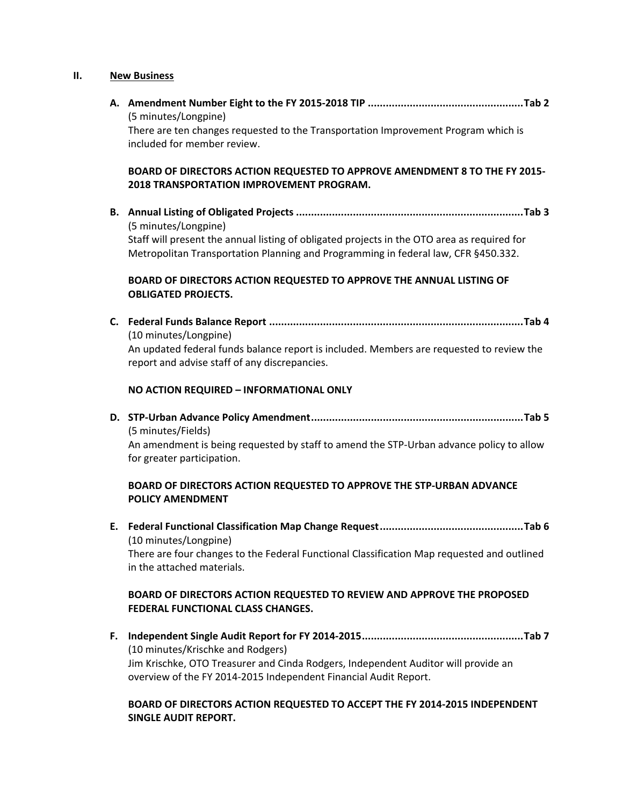### **II. New Business**

**A. Amendment Number Eight to the FY 2015‐2018 TIP ....................................................Tab 2** (5 minutes/Longpine) There are ten changes requested to the Transportation Improvement Program which is included for member review.

## **BOARD OF DIRECTORS ACTION REQUESTED TO APPROVE AMENDMENT 8 TO THE FY 2015‐ 2018 TRANSPORTATION IMPROVEMENT PROGRAM.**

**B. Annual Listing of Obligated Projects ............................................................................Tab 3** (5 minutes/Longpine) Staff will present the annual listing of obligated projects in the OTO area as required for Metropolitan Transportation Planning and Programming in federal law, CFR §450.332.

## **BOARD OF DIRECTORS ACTION REQUESTED TO APPROVE THE ANNUAL LISTING OF OBLIGATED PROJECTS.**

**C. Federal Funds Balance Report .....................................................................................Tab 4** (10 minutes/Longpine) An updated federal funds balance report is included. Members are requested to review the report and advise staff of any discrepancies.

#### **NO ACTION REQUIRED – INFORMATIONAL ONLY**

**D. STP‐Urban Advance Policy Amendment.......................................................................Tab 5** (5 minutes/Fields) An amendment is being requested by staff to amend the STP‐Urban advance policy to allow for greater participation.

### **BOARD OF DIRECTORS ACTION REQUESTED TO APPROVE THE STP‐URBAN ADVANCE POLICY AMENDMENT**

**E. Federal Functional Classification Map Change Request................................................Tab 6**  (10 minutes/Longpine) There are four changes to the Federal Functional Classification Map requested and outlined in the attached materials.

# **BOARD OF DIRECTORS ACTION REQUESTED TO REVIEW AND APPROVE THE PROPOSED FEDERAL FUNCTIONAL CLASS CHANGES.**

**F. Independent Single Audit Report for FY 2014‐2015......................................................Tab 7** (10 minutes/Krischke and Rodgers) Jim Krischke, OTO Treasurer and Cinda Rodgers, Independent Auditor will provide an overview of the FY 2014‐2015 Independent Financial Audit Report.

## **BOARD OF DIRECTORS ACTION REQUESTED TO ACCEPT THE FY 2014‐2015 INDEPENDENT SINGLE AUDIT REPORT.**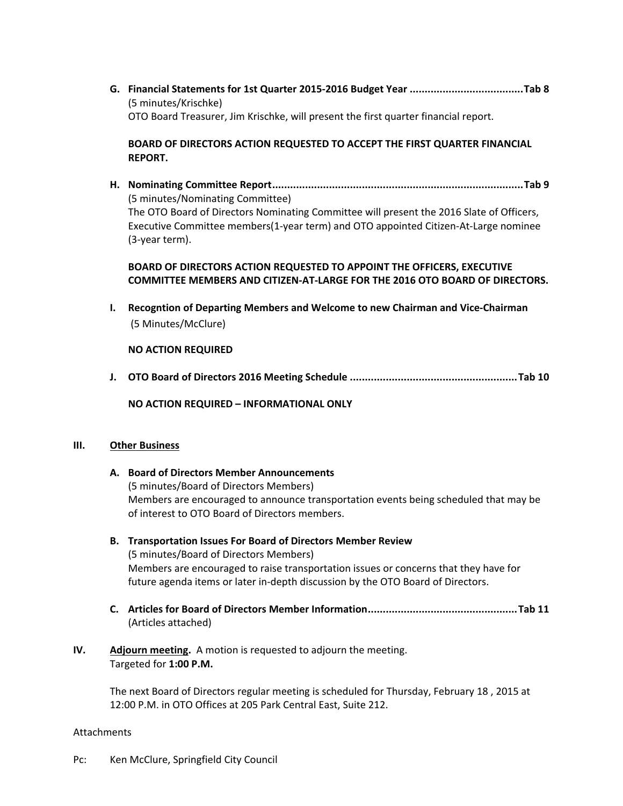**G. Financial Statements for 1st Quarter 2015‐2016 Budget Year ......................................Tab 8** (5 minutes/Krischke) OTO Board Treasurer, Jim Krischke, will present the first quarter financial report.

**BOARD OF DIRECTORS ACTION REQUESTED TO ACCEPT THE FIRST QUARTER FINANCIAL REPORT.**

**H. Nominating Committee Report....................................................................................Tab 9** (5 minutes/Nominating Committee) The OTO Board of Directors Nominating Committee will present the 2016 Slate of Officers, Executive Committee members(1‐year term) and OTO appointed Citizen‐At‐Large nominee (3‐year term).

# **BOARD OF DIRECTORS ACTION REQUESTED TO APPOINT THE OFFICERS, EXECUTIVE COMMITTEE MEMBERS AND CITIZEN‐AT‐LARGE FOR THE 2016 OTO BOARD OF DIRECTORS.**

**I. Recogntion of Departing Members and Welcome to new Chairman and Vice‐Chairman** (5 Minutes/McClure)

**NO ACTION REQUIRED**

**J. OTO Board of Directors 2016 Meeting Schedule ........................................................Tab 10**

**NO ACTION REQUIRED – INFORMATIONAL ONLY**

### **III. Other Business**

- **A. Board of Directors Member Announcements** (5 minutes/Board of Directors Members) Members are encouraged to announce transportation events being scheduled that may be of interest to OTO Board of Directors members. **B. Transportation Issues For Board of Directors Member Review**  (5 minutes/Board of Directors Members) Members are encouraged to raise transportation issues or concerns that they have for future agenda items or later in‐depth discussion by the OTO Board of Directors. **C. Articles for Board of Directors Member Information..................................................Tab 11** (Articles attached)
- **IV.** Adjourn meeting. A motion is requested to adjourn the meeting. Targeted for **1:00 P.M.**

The next Board of Directors regular meeting is scheduled for Thursday, February 18 , 2015 at 12:00 P.M. in OTO Offices at 205 Park Central East, Suite 212.

### Attachments

Pc: Ken McClure, Springfield City Council